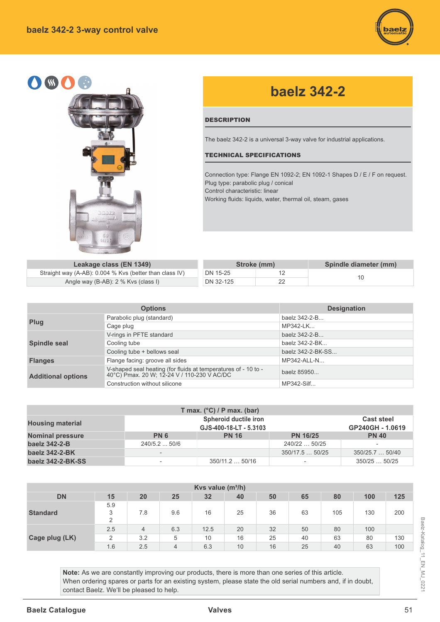



## **baelz 342-2**

## **DESCRIPTION**

The baelz 342-2 is a universal 3-way valve for industrial applications.

## TECHNICAL SPECIFICATIONS

Connection type: Flange EN 1092-2; EN 1092-1 Shapes D / E / F on request. Plug type: parabolic plug / conical Control characteristic: linear Working fluids: liquids, water, thermal oil, steam, gases

**Leakage class (EN 1349)** Straight way (A-AB): 0.004 % Kvs (better than of Angle way (B-AB): 2 % Kvs (class I)

|            |           | Stroke (mm) | Spindle diameter (mm) |
|------------|-----------|-------------|-----------------------|
| class IV). | DN 15-25  |             |                       |
|            | DN 32-125 |             |                       |

|                           | <b>Options</b>                                                                                             | <b>Designation</b> |
|---------------------------|------------------------------------------------------------------------------------------------------------|--------------------|
| Plug                      | Parabolic plug (standard)                                                                                  | baelz 342-2-B      |
|                           | Cage plug                                                                                                  | MP342-LK           |
|                           | V-rings in PFTE standard                                                                                   | baelz 342-2-B      |
| <b>Spindle seal</b>       | Cooling tube                                                                                               | baelz 342-2-BK     |
|                           | Cooling tube + bellows seal                                                                                | baelz 342-2-BK-SS  |
| <b>Flanges</b>            | Flange facing: groove all sides                                                                            | MP342-ALL-N        |
| <b>Additional options</b> | V-shaped seal heating (for fluids at temperatures of - 10 to - 40°C) Pmax. 20 W; 12-24 V / 110-230 V AC/DC | baelz 85950        |
|                           | Construction without silicone                                                                              | MP342-Silf         |

|                         |                          | T max. $(^{\circ}C)$ / P max. (bar) |                          |                   |
|-------------------------|--------------------------|-------------------------------------|--------------------------|-------------------|
| <b>Housing material</b> |                          | Spheroid ductile iron               |                          | <b>Cast steel</b> |
|                         |                          | GJS-400-18-LT - 5.3103              |                          | GP240GH - 1.0619  |
| <b>Nominal pressure</b> | <b>PN 6</b>              | <b>PN 16</b>                        | <b>PN 16/25</b>          | <b>PN 40</b>      |
| baelz 342-2-B           | $240/5.2$ 50/6           |                                     | 240/22  50/25            |                   |
| baelz 342-2-BK          |                          |                                     | 350/17.5  50/25          | 350/25.7  50/40   |
| baelz 342-2-BK-SS       | $\overline{\phantom{a}}$ | 350/11.250/16                       | $\overline{\phantom{a}}$ | 350/2550/25       |

| Kvs value $(m^3/h)$<br>25<br><b>DN</b><br>20<br>32<br>50<br>100<br>125<br>15<br>65<br>80<br>40<br>5.9<br>36<br>9.6<br>25<br><b>Standard</b><br>3<br>7.8<br>130<br>63<br>105<br>16<br>$\overline{2}$ |                |                |     |      |    |    |    |    |     |     |  |
|-----------------------------------------------------------------------------------------------------------------------------------------------------------------------------------------------------|----------------|----------------|-----|------|----|----|----|----|-----|-----|--|
|                                                                                                                                                                                                     |                |                |     |      |    |    |    |    |     | 200 |  |
|                                                                                                                                                                                                     | 2.5            | $\overline{4}$ | 6.3 | 12.5 | 20 | 32 | 50 | 80 | 100 |     |  |
| Cage plug (LK)                                                                                                                                                                                      | $\overline{2}$ | 3.2            | 5   | 10   | 16 | 25 | 40 | 63 | 80  | 130 |  |
|                                                                                                                                                                                                     | 1.6            | 2.5            | 4   | 6.3  | 10 | 16 | 25 | 40 | 63  | 100 |  |

Note: As we are constantly improving our products, there is more than one series of this article. When ordering spares or parts for an existing system, please state the old serial numbers and, if in doubt, contact Baelz. We'll be pleased to help.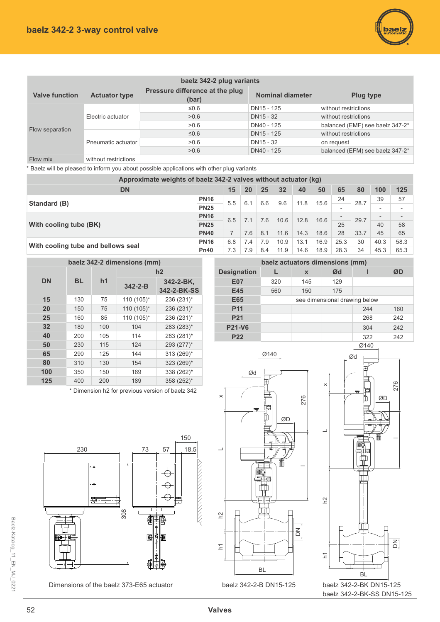

|                       |                      | baelz 342-2 plug variants                |                  |                                 |
|-----------------------|----------------------|------------------------------------------|------------------|---------------------------------|
| <b>Valve function</b> | <b>Actuator type</b> | Pressure difference at the plug<br>(bar) | Nominal diameter | <b>Plug type</b>                |
|                       |                      | ≤0.6                                     | DN15 - 125       | without restrictions            |
|                       | Electric actuator    | >0.6                                     | DN15 - 32        | without restrictions            |
|                       |                      | >0.6                                     | DN40 - 125       | balanced (EMF) see baelz 347-2* |
| Flow separation       |                      | ≤0.6                                     | DN15 - 125       | without restrictions            |
|                       | Pneumatic actuator   | >0.6                                     | DN15 - 32        | on request                      |
|                       |                      | >0.6                                     | DN40 - 125       | balanced (EFM) see baelz 347-2* |
| Flow mix              | without restrictions |                                          |                  |                                 |

\* Baelz will be pleased to inform you about possible applications with other plug variants

| Approximate weights of baelz 342-2 valves without actuator (kg) |             |     |     |     |      |      |      |                          |      |                          |                          |
|-----------------------------------------------------------------|-------------|-----|-----|-----|------|------|------|--------------------------|------|--------------------------|--------------------------|
| <b>DN</b>                                                       |             | 15  | 20  | 25  | 32   | 40   | 50   | 65                       | 80   | 100                      | 125                      |
| Standard (B)                                                    | <b>PN16</b> | 5.5 | 6.1 | 6.6 | 9.6  | 11.8 | 15.6 | 24                       | 28.7 | 39                       | 57                       |
|                                                                 | <b>PN25</b> |     |     |     |      |      |      |                          |      | $\overline{\phantom{a}}$ | $\overline{\phantom{0}}$ |
|                                                                 | <b>PN16</b> | 6.5 | 7.1 | 7.6 | 10.6 | 12.8 | 16.6 | $\overline{\phantom{0}}$ | 29.7 | $\overline{\phantom{0}}$ | $\overline{\phantom{0}}$ |
| With cooling tube (BK)                                          | <b>PN25</b> |     |     |     |      |      |      | 25                       |      | 40                       | 58                       |
|                                                                 | <b>PN40</b> |     | 7.6 | 8.1 | 11.6 | 14.3 | 18.6 | 28                       | 33.7 | 45                       | 65                       |
|                                                                 | <b>PN16</b> | 6.8 | 7.4 | 7.9 | 10.9 | 13.1 | 16.9 | 25.3                     | 30   | 40.3                     | 58.3                     |
| With cooling tube and bellows seal                              | <b>Pn40</b> | 7.3 | 7.9 | 8.4 | 11.9 | 14.6 | 18.9 | 28.3                     | 34   | 45.3                     | 65.3                     |

|           |           |     | baelz 342-2 dimensions (mm) |                          |
|-----------|-----------|-----|-----------------------------|--------------------------|
|           |           |     |                             | h2                       |
| <b>DN</b> | <b>BL</b> | h1  | $342 - 2 - B$               | 342-2-BK.<br>342-2-BK-SS |
| 15        | 130       | 75  | 110 (105)*                  | 236 (231)*               |
| 20        | 150       | 75  | 110 (105)*                  | 236 (231)*               |
| 25        | 160       | 85  | 110 (105)*                  | 236 (231)*               |
| 32        | 180       | 100 | 104                         | 283 (283)*               |
| 40        | 200       | 105 | 114                         | 283 (281)*               |
| 50        | 230       | 115 | 124                         | 293 (277)*               |
| 65        | 290       | 125 | 144                         | 313 (269)*               |
| 80        | 310       | 130 | 154                         | 323 (269)*               |
| 100       | 350       | 150 | 169                         | 338 (262)*               |
| 125       | 400       | 200 | 189                         | 358 (252)*               |

\* Dimension h2 for previous version of baelz 342







baelz 342-2-B DN15-125 baelz 342-2-BK DN15-125 baelz 342-2-BK-SS DN15-125



Dimensions of the baelz 373-E65 actuator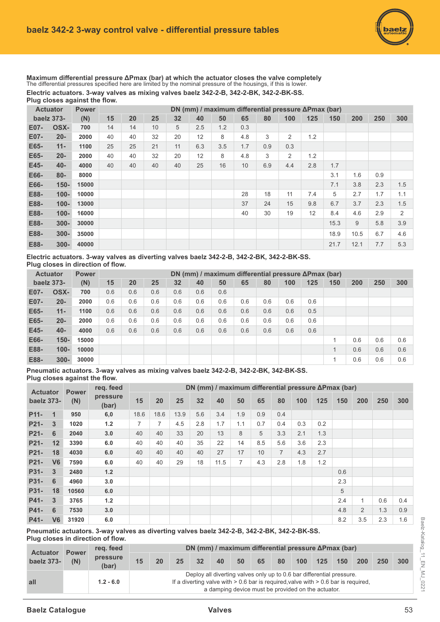

Maximum differential pressure ΔPmax (bar) at which the actuator closes the valve completely The differential pressures specified here are limited by the nominal pressure of the housings, if this is lower. Electric actuators. 3-way valves as mixing valves baelz 342-2-B, 342-2-BK, 342-2-BK-SS. Plug closes against the flow.

|      | <b>Actuator</b> | <b>Power</b> |    | DN (mm) / maximum differential pressure ΔPmax (bar)<br>40<br>20<br>25<br>32<br>50<br>65<br>80<br>125<br>100<br>150<br>200<br>250<br>5<br>2.5<br>1.2<br>14<br>10<br>0.3<br>12<br>3<br>2<br>1.2<br>8<br>4.8<br>40<br>32<br>20<br>11<br>6.3<br>3.5<br>25<br>21<br>1.7<br>0.9<br>0.3<br>12<br>32<br>8<br>4.8<br>3<br>2<br>1.2<br>40<br>20<br>25<br>16<br>10<br>6.9<br>2.8<br>40<br>40<br>40<br>4.4<br>1.7 |  |  |  |  |    |    |    |     |      |      |     |     |  |
|------|-----------------|--------------|----|-------------------------------------------------------------------------------------------------------------------------------------------------------------------------------------------------------------------------------------------------------------------------------------------------------------------------------------------------------------------------------------------------------|--|--|--|--|----|----|----|-----|------|------|-----|-----|--|
|      | baelz 373-      | (N)          | 15 |                                                                                                                                                                                                                                                                                                                                                                                                       |  |  |  |  |    |    |    |     |      |      |     | 300 |  |
| E07- | OSX-            | 700          | 14 |                                                                                                                                                                                                                                                                                                                                                                                                       |  |  |  |  |    |    |    |     |      |      |     |     |  |
| E07- | $20 -$          | 2000         | 40 |                                                                                                                                                                                                                                                                                                                                                                                                       |  |  |  |  |    |    |    |     |      |      |     |     |  |
| E65- | $11 -$          | 1100         | 25 |                                                                                                                                                                                                                                                                                                                                                                                                       |  |  |  |  |    |    |    |     |      |      |     |     |  |
| E65- | $20 -$          | 2000         | 40 |                                                                                                                                                                                                                                                                                                                                                                                                       |  |  |  |  |    |    |    |     |      |      |     |     |  |
| E45- | $40 -$          | 4000         | 40 |                                                                                                                                                                                                                                                                                                                                                                                                       |  |  |  |  |    |    |    |     |      |      |     |     |  |
| E66- | $80 -$          | 8000         |    |                                                                                                                                                                                                                                                                                                                                                                                                       |  |  |  |  |    |    |    |     | 3.1  | 1.6  | 0.9 |     |  |
| E66- | $150 -$         | 15000        |    |                                                                                                                                                                                                                                                                                                                                                                                                       |  |  |  |  |    |    |    |     | 7.1  | 3.8  | 2.3 | 1.5 |  |
| E88- | $100 -$         | 10000        |    |                                                                                                                                                                                                                                                                                                                                                                                                       |  |  |  |  | 28 | 18 | 11 | 7.4 | 5    | 2.7  | 1.7 | 1.1 |  |
| E88- | $100 -$         | 13000        |    |                                                                                                                                                                                                                                                                                                                                                                                                       |  |  |  |  | 37 | 24 | 15 | 9.8 | 6.7  | 3.7  | 2.3 | 1.5 |  |
| E88- | $100 -$         | 16000        |    |                                                                                                                                                                                                                                                                                                                                                                                                       |  |  |  |  | 40 | 30 | 19 | 12  | 8.4  | 4.6  | 2.9 | 2   |  |
| E88- | $300 -$         | 30000        |    |                                                                                                                                                                                                                                                                                                                                                                                                       |  |  |  |  |    |    |    |     | 15.3 | 9    | 5.8 | 3.9 |  |
| E88- | $300 -$         | 35000        |    |                                                                                                                                                                                                                                                                                                                                                                                                       |  |  |  |  |    |    |    |     | 18.9 | 10.5 | 6.7 | 4.6 |  |
| E88- | $300 -$         | 40000        |    |                                                                                                                                                                                                                                                                                                                                                                                                       |  |  |  |  |    |    |    |     | 21.7 | 12.1 | 7.7 | 5.3 |  |

Electric actuators. 3-way valves as diverting valves baelz 342-2-B, 342-2-BK, 342-2-BK-SS. **Plug closes in direction of flow.** 

|      | <b>Actuator</b> | <b>Power</b> |     |     |     |     |     | DN (mm) / maximum differential pressure $\Delta P$ max (bar) |     |     |     |     |     |     |     |     |
|------|-----------------|--------------|-----|-----|-----|-----|-----|--------------------------------------------------------------|-----|-----|-----|-----|-----|-----|-----|-----|
|      | baelz 373-      | (N)          | 15  | 20  | 25  | 32  | 40  | 50                                                           | 65  | 80  | 100 | 125 | 150 | 200 | 250 | 300 |
| E07- | OSX-            | 700          | 0.6 | 0.6 | 0.6 | 0.6 | 0.6 | 0.6                                                          |     |     |     |     |     |     |     |     |
| E07- | $20 -$          | 2000         | 0.6 | 0.6 | 0.6 | 0.6 | 0.6 | 0.6                                                          | 0.6 | 0.6 | 0.6 | 0.6 |     |     |     |     |
| E65- | $11 -$          | 1100         | 0.6 | 0.6 | 0.6 | 0.6 | 0.6 | 0.6                                                          | 0.6 | 0.6 | 0.6 | 0.5 |     |     |     |     |
| E65- | $20 -$          | 2000         | 0.6 | 0.6 | 0.6 | 0.6 | 0.6 | 0.6                                                          | 0.6 | 0.6 | 0.6 | 0.6 |     |     |     |     |
| E45- | $40 -$          | 4000         | 0.6 | 0.6 | 0.6 | 0.6 | 0.6 | 0.6                                                          | 0.6 | 0.6 | 0.6 | 0.6 |     |     |     |     |
| E66- | $150 -$         | 15000        |     |     |     |     |     |                                                              |     |     |     |     |     | 0.6 | 0.6 | 0.6 |
| E88- | $100 -$         | 10000        |     |     |     |     |     |                                                              |     |     |     |     |     | 0.6 | 0.6 | 0.6 |
| E88- | $300 -$         | 30000        |     |     |     |     |     |                                                              |     |     |     |     |     | 0.6 | 0.6 | 0.6 |

Pneumatic actuators. 3-way valves as mixing valves baelz 342-2-B, 342-2-BK, 342-BK-SS. Plug closes against the flow.

|                   | reg. feed<br><b>Actuator</b><br><b>Power</b> |       |                   |                | DN (mm) / maximum differential pressure ΔPmax (bar) |      |     |      |     |     |                |     |     |     |                |     |     |
|-------------------|----------------------------------------------|-------|-------------------|----------------|-----------------------------------------------------|------|-----|------|-----|-----|----------------|-----|-----|-----|----------------|-----|-----|
| baelz 373-        |                                              | (N)   | pressure<br>(bar) | 15             | 20                                                  | 25   | 32  | 40   | 50  | 65  | 80             | 100 | 125 | 150 | 200            | 250 | 300 |
| P <sub>11</sub> - | $\mathbf 1$                                  | 950   | 6,0               | 18.6           | 18.6                                                | 13.9 | 5.6 | 3.4  | 1.9 | 0.9 | 0.4            |     |     |     |                |     |     |
| P21-              | 3                                            | 1020  | 1.2               | $\overline{7}$ | $\overline{7}$                                      | 4.5  | 2.8 | 1.7  | 1.1 | 0.7 | 0.4            | 0.3 | 0.2 |     |                |     |     |
| P21-              | 6                                            | 2040  | 3.0               | 40             | 40                                                  | 33   | 20  | 13   | 8   | 5   | 3.3            | 2.1 | 1.3 |     |                |     |     |
| P21-              | 12                                           | 3390  | 6.0               | 40             | 40                                                  | 40   | 35  | 22   | 14  | 8.5 | 5.6            | 3.6 | 2.3 |     |                |     |     |
| P21-              | 18                                           | 4030  | 6.0               | 40             | 40                                                  | 40   | 40  | 27   | 17  | 10  | $\overline{7}$ | 4.3 | 2.7 |     |                |     |     |
| P <sub>21</sub>   | V <sub>6</sub>                               | 7590  | 6.0               | 40             | 40                                                  | 29   | 18  | 11.5 | 7   | 4.3 | 2.8            | 1.8 | 1.2 |     |                |     |     |
| P31-              | 3                                            | 2480  | 1.2               |                |                                                     |      |     |      |     |     |                |     |     | 0.6 |                |     |     |
| P31-              | 6                                            | 4960  | 3.0               |                |                                                     |      |     |      |     |     |                |     |     | 2.3 |                |     |     |
| P31-              | 18                                           | 10560 | 6.0               |                |                                                     |      |     |      |     |     |                |     |     | 5   |                |     |     |
| P41-              | 3                                            | 3765  | $1.2$             |                |                                                     |      |     |      |     |     |                |     |     | 2.4 |                | 0.6 | 0.4 |
| P41-              | 6                                            | 7530  | 3.0               |                |                                                     |      |     |      |     |     |                |     |     | 4.8 | $\overline{2}$ | 1.3 | 0.9 |
| P41-              | V <sub>6</sub>                               | 31920 | 6.0               |                |                                                     |      |     |      |     |     |                |     |     | 8.2 | 3.5            | 2.3 | 1.6 |

Pneumatic actuators. 3-way valves as diverting valves baelz 342-2-B, 342-2-BK, 342-2-BK-SS. **Plug closes in direction of flow.** 

| <b>Actuator</b> | <b>Power</b> | reg. feed         |    | DN (mm) / maximum differential pressure $\Delta P$ max (bar)                                                                                                                                                          |    |    |    |    |    |    |                  |     |     |            |     |     |  |  |
|-----------------|--------------|-------------------|----|-----------------------------------------------------------------------------------------------------------------------------------------------------------------------------------------------------------------------|----|----|----|----|----|----|------------------|-----|-----|------------|-----|-----|--|--|
| baelz 373-      | (N)          | pressure<br>(bar) | 15 | 20                                                                                                                                                                                                                    | 25 | 32 | 40 | 50 | 65 | 80 | 100 <sub>1</sub> | 125 | 150 | <b>200</b> | 250 | 300 |  |  |
| all             |              | $1.2 - 6.0$       |    | Deploy all diverting valves only up to 0.6 bar differential pressure.<br>If a diverting valve with $> 0.6$ bar is required, valve with $> 0.6$ bar is required,<br>a damping device must be provided on the actuator. |    |    |    |    |    |    |                  |     |     |            |     |     |  |  |

Baelz-Katalog\_11\_EN\_MJ\_0221

Baelz-Katalog\_11\_EN\_MJ\_0221